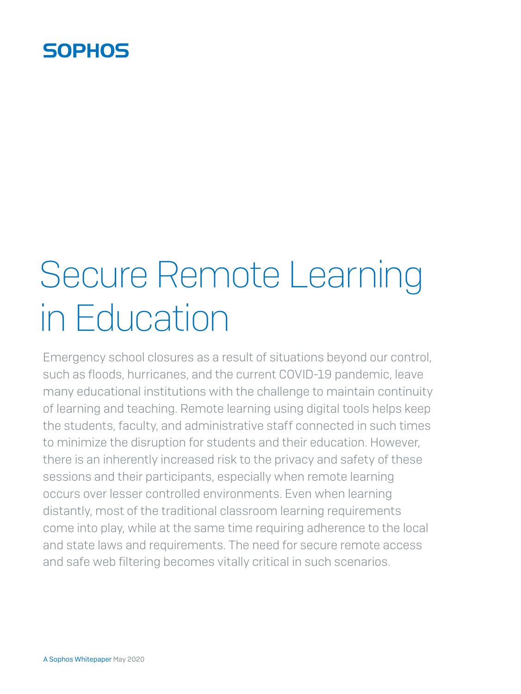## **SOPHOS**

# Secure Remote Learning in Education

Emergency school closures as a result of situations beyond our control, such as floods, hurricanes, and the current COVID-19 pandemic, leave many educational institutions with the challenge to maintain continuity of learning and teaching. Remote learning using digital tools helps keep the students, faculty, and administrative staff connected in such times to minimize the disruption for students and their education. However, there is an inherently increased risk to the privacy and safety of these sessions and their participants, especially when remote learning occurs over lesser controlled environments. Even when learning distantly, most of the traditional classroom learning requirements come into play, while at the same time requiring adherence to the local and state laws and requirements. The need for secure remote access and safe web filtering becomes vitally critical in such scenarios.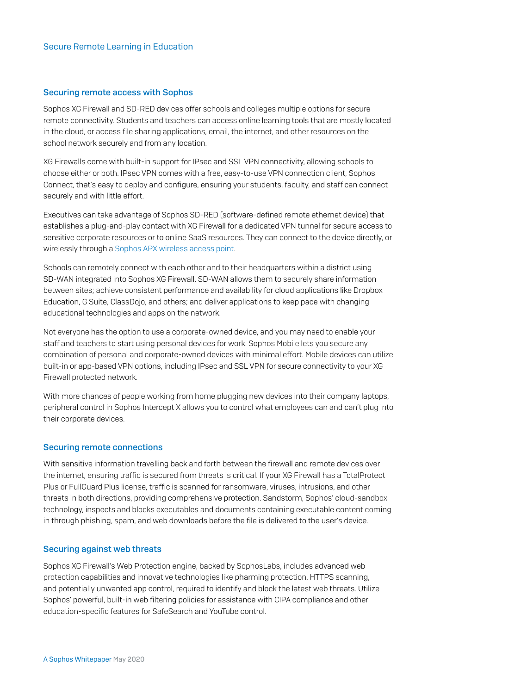#### Securing remote access with Sophos

Sophos XG Firewall and SD-RED devices offer schools and colleges multiple options for secure remote connectivity. Students and teachers can access online learning tools that are mostly located in the cloud, or access file sharing applications, email, the internet, and other resources on the school network securely and from any location.

XG Firewalls come with built-in support for IPsec and SSL VPN connectivity, allowing schools to choose either or both. IPsec VPN comes with a free, easy-to-use VPN connection client, Sophos Connect, that's easy to deploy and configure, ensuring your students, faculty, and staff can connect securely and with little effort.

Executives can take advantage of Sophos SD-RED (software-defined remote ethernet device) that establishes a plug-and-play contact with XG Firewall for a dedicated VPN tunnel for secure access to sensitive corporate resources or to online SaaS resources. They can connect to the device directly, or wirelessly through a [Sophos APX wireless access point](https://www.sophos.com/en-us/products/secure-wifi.aspx?cmp=40281).

Schools can remotely connect with each other and to their headquarters within a district using SD-WAN integrated into Sophos XG Firewall. SD-WAN allows them to securely share information between sites; achieve consistent performance and availability for cloud applications like Dropbox Education, G Suite, ClassDojo, and others; and deliver applications to keep pace with changing educational technologies and apps on the network.

Not everyone has the option to use a corporate-owned device, and you may need to enable your staff and teachers to start using personal devices for work. Sophos Mobile lets you secure any combination of personal and corporate-owned devices with minimal effort. Mobile devices can utilize built-in or app-based VPN options, including IPsec and SSL VPN for secure connectivity to your XG Firewall protected network.

With more chances of people working from home plugging new devices into their company laptops, peripheral control in Sophos Intercept X allows you to control what employees can and can't plug into their corporate devices.

#### Securing remote connections

With sensitive information travelling back and forth between the firewall and remote devices over the internet, ensuring traffic is secured from threats is critical. If your XG Firewall has a TotalProtect Plus or FullGuard Plus license, traffic is scanned for ransomware, viruses, intrusions, and other threats in both directions, providing comprehensive protection. Sandstorm, Sophos' cloud-sandbox technology, inspects and blocks executables and documents containing executable content coming in through phishing, spam, and web downloads before the file is delivered to the user's device.

#### Securing against web threats

Sophos XG Firewall's Web Protection engine, backed by SophosLabs, includes advanced web protection capabilities and innovative technologies like pharming protection, HTTPS scanning, and potentially unwanted app control, required to identify and block the latest web threats. Utilize Sophos' powerful, built-in web filtering policies for assistance with CIPA compliance and other education-specific features for SafeSearch and YouTube control.